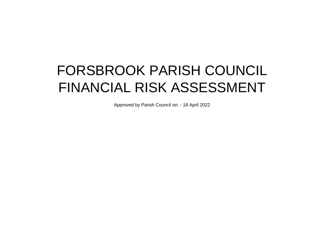## FORSBROOK PARISH COUNCIL FINANCIAL RISK ASSESSMENT

Approved by Parish Council on: - 18 April 2022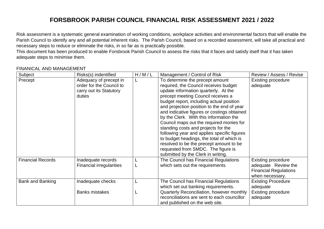## **FORSBROOK PARISH COUNCIL FINANCIAL RISK ASSESSMENT 2021 / 2022**

Risk assessment is a systematic general examination of working conditions, workplace activities and environmental factors that will enable the Parish Council to identify any and all potential inherent risks. The Parish Council, based on a recorded assessment, will take all practical and necessary steps to reduce or eliminate the risks, in so far as is practically possible.

This document has been produced to enable Forsbrook Parish Council to assess the risks that it faces and satisfy itself that it has taken adequate steps to minimise them.

## FINANICAL AND MANAGEMENT

| Subject                  | Risks(s) indentified                                                                    | H/M/L | Management / Control of Risk                                                                                                                                                                                                                                                                                                                                                                                                                                                                                                                                                                                                                     | Review / Assess / Revise                                                                            |
|--------------------------|-----------------------------------------------------------------------------------------|-------|--------------------------------------------------------------------------------------------------------------------------------------------------------------------------------------------------------------------------------------------------------------------------------------------------------------------------------------------------------------------------------------------------------------------------------------------------------------------------------------------------------------------------------------------------------------------------------------------------------------------------------------------------|-----------------------------------------------------------------------------------------------------|
| Precept                  | Adequacy of precept in<br>order for the Council to<br>carry out its Statutory<br>duties | L     | To determine the precept amount<br>required, the Council receives budget<br>update information quarterly. At the<br>precept meeting Council receives a<br>budget report, including actual position<br>and projection position to the end of year<br>and indicative figures or costings obtained<br>by the Clerk. With this information the<br>Council maps out the required monies for<br>standing costs and projects for the<br>following year and applies specific figures<br>to budget headings, the total of which is<br>resolved to be the precept amount to be<br>requested from SMDC. The figure is<br>submitted by the Clerk in writing. | <b>Existing procedure</b><br>adequate                                                               |
| <b>Financial Records</b> | Inadequate records<br><b>Financial irregularities</b>                                   |       | The Council has Financial Regulations<br>which sets out the requirements                                                                                                                                                                                                                                                                                                                                                                                                                                                                                                                                                                         | <b>Existing procedure</b><br>adequate Review the<br><b>Financial Regulations</b><br>when necessary. |
| <b>Bank and Banking</b>  | Inadequate checks                                                                       | L     | The Council has Financial Regulations<br>which set out banking requirements.                                                                                                                                                                                                                                                                                                                                                                                                                                                                                                                                                                     | <b>Existing Procedure</b><br>adequate                                                               |
|                          | <b>Banks mistakes</b>                                                                   |       | Quarterly Reconciliation, however monthly<br>reconciliations are sent to each councillor<br>and published on the web site.                                                                                                                                                                                                                                                                                                                                                                                                                                                                                                                       | <b>Existing procedure</b><br>adequate                                                               |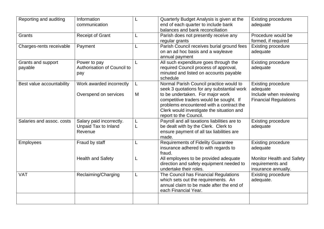| Reporting and auditing        | Information<br>communication                                       |        | Quarterly Budget Analysis is given at the<br>end of each quarter to include bank<br>balances and bank reconciliation                                                                           | <b>Existing procedures</b><br>adequate                                      |
|-------------------------------|--------------------------------------------------------------------|--------|------------------------------------------------------------------------------------------------------------------------------------------------------------------------------------------------|-----------------------------------------------------------------------------|
| Grants                        | <b>Receipt of Grant</b>                                            | L      | Parish does not presently receive any<br>regular grants                                                                                                                                        | Procedure would be<br>formed, if required                                   |
| Charges-rents receivable      | Payment                                                            |        | Parish Council receives burial ground fees<br>on an ad hoc basis and a wayleave<br>annual payment                                                                                              | <b>Existing procedure</b><br>adequate                                       |
| Grants and support<br>payable | Power to pay<br>Authorisation of Council to<br>pay                 |        | All such expenditure goes through the<br>required Council process of approval,<br>minuted and listed on accounts payable<br>schedule                                                           | <b>Existing procedure</b><br>adequate                                       |
| Best value accountability     | Work awarded incorrectly                                           | L      | Normal Parish Council practice would to<br>seek 3 quotations for any substantial work                                                                                                          | <b>Existing procedure</b><br>adequate                                       |
|                               | Overspend on services                                              | M      | to be undertaken. For major work<br>competitive traders would be sought. If<br>problems encountered with a contract the<br>Clerk would investigate the situation and<br>report to the Council. | Include when reviewing<br><b>Financial Regulations</b>                      |
| Salaries and assoc. costs     | Salary paid incorrectly.<br><b>Unpaid Tax to Inland</b><br>Revenue | L<br>L | Payroll and all taxations liabilities are to<br>be dealt with by the Clerk. Clerk to<br>ensure payment of all tax liabilities are<br>made.                                                     | <b>Existing procedure</b><br>adequate                                       |
| <b>Employees</b>              | Fraud by staff                                                     | L      | <b>Requirements of Fidelity Guarantee</b><br>insurance adhered to with regards to<br>fraud.                                                                                                    | <b>Existing procedure</b><br>adequate                                       |
|                               | <b>Health and Safety</b>                                           | L      | All employees to be provided adequate<br>direction and safety equipment needed to<br>undertake their roles.                                                                                    | <b>Monitor Health and Safety</b><br>requirements and<br>insurance annually. |
| <b>VAT</b>                    | Reclaiming/Charging                                                | L      | The Council has Financial Regulations<br>which sets out the requirements. An<br>annual claim to be made after the end of<br>each Financial Year.                                               | <b>Existing procedure</b><br>adequate.                                      |
|                               |                                                                    |        |                                                                                                                                                                                                |                                                                             |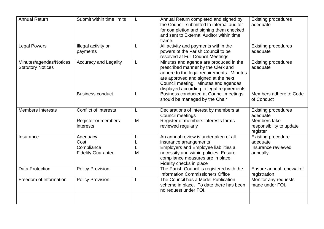| <b>Annual Return</b>                                | Submit within time limits                                        |        | Annual Return completed and signed by<br>the Council, submitted to internal auditor<br>for completion and signing them checked<br>and sent to External Auditor within time<br>frame.                                                                   | <b>Existing procedures</b><br>adequate                                                         |
|-----------------------------------------------------|------------------------------------------------------------------|--------|--------------------------------------------------------------------------------------------------------------------------------------------------------------------------------------------------------------------------------------------------------|------------------------------------------------------------------------------------------------|
| <b>Legal Powers</b>                                 | Illegal activity or<br>payments                                  |        | All activity and payments within the<br>powers of the Parish Council to be<br>resolved at Full Council Meetings                                                                                                                                        | <b>Existing procedures</b><br>adequate                                                         |
| Minutes/agendas/Notices<br><b>Statutory Notices</b> | <b>Accuracy and Legality</b>                                     |        | Minutes and agenda are produced in the<br>prescribed manner by the Clerk and<br>adhere to the legal requirements. Minutes<br>are approved and signed at the next<br>Council meeting. Minutes and agendas<br>displayed according to legal requirements. | <b>Existing procedures</b><br>adequate                                                         |
|                                                     | <b>Business conduct</b>                                          |        | Business conducted at Council meetings<br>should be managed by the Chair                                                                                                                                                                               | Members adhere to Code<br>of Conduct                                                           |
| <b>Members Interests</b>                            | <b>Conflict of interests</b><br>Register or members<br>interests | M      | Declarations of interest by members at<br>Council meetings<br>Register of members interests forms<br>reviewed regularly                                                                                                                                | <b>Existing procedures</b><br>adequate<br>Members take<br>responsibility to update<br>register |
| Insurance                                           | Adequacy<br>Cost<br>Compliance<br><b>Fidelity Guarantee</b>      | L<br>M | An annual review is undertaken of all<br>insurance arrangements<br>Employers and Employee liabilities a<br>necessity and within policies. Ensure<br>compliance measures are in place.<br>Fidelity checks in place                                      | <b>Existing procedure</b><br>adequate<br>Insurance reviewed<br>annually                        |
| <b>Data Protection</b>                              | <b>Policy Provision</b>                                          | L      | The Parish Council is registered with the<br><b>Information Commissioners Office</b>                                                                                                                                                                   | Ensure annual renewal of<br>registration                                                       |
| Freedom of Information                              | <b>Policy Provision</b>                                          |        | The Council has a Model Publication<br>scheme in place. To date there has been<br>no request under FOI.                                                                                                                                                | Monitor any requests<br>made under FOI.                                                        |
|                                                     |                                                                  |        |                                                                                                                                                                                                                                                        |                                                                                                |